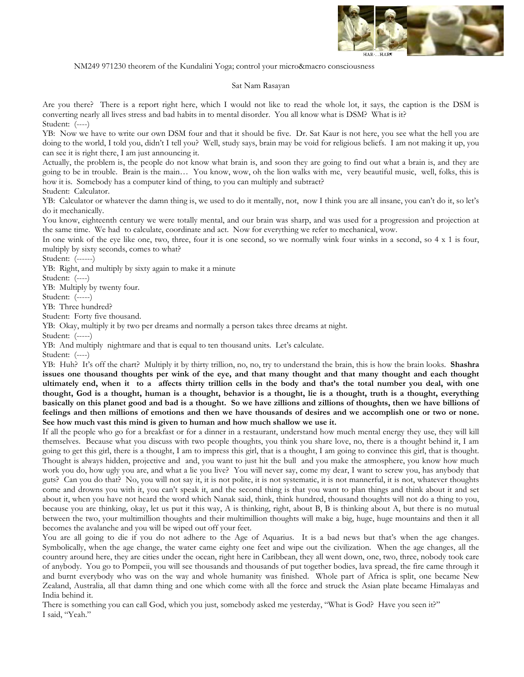

NM249 971230 theorem of the Kundalini Yoga; control your micro&macro consciousness

## Sat Nam Rasayan

Are you there? There is a report right here, which I would not like to read the whole lot, it says, the caption is the DSM is converting nearly all lives stress and bad habits in to mental disorder. You all know what is DSM? What is it? Student: (----)

YB: Now we have to write our own DSM four and that it should be five. Dr. Sat Kaur is not here, you see what the hell you are doing to the world, I told you, didn't I tell you? Well, study says, brain may be void for religious beliefs. I am not making it up, you can see it is right there, I am just announcing it.

Actually, the problem is, the people do not know what brain is, and soon they are going to find out what a brain is, and they are going to be in trouble. Brain is the main… You know, wow, oh the lion walks with me, very beautiful music, well, folks, this is how it is. Somebody has a computer kind of thing, to you can multiply and subtract?

Student: Calculator.

YB: Calculator or whatever the damn thing is, we used to do it mentally, not, now I think you are all insane, you can't do it, so let's do it mechanically.

You know, eighteenth century we were totally mental, and our brain was sharp, and was used for a progression and projection at the same time. We had to calculate, coordinate and act. Now for everything we refer to mechanical, wow.

In one wink of the eye like one, two, three, four it is one second, so we normally wink four winks in a second, so 4 x 1 is four, multiply by sixty seconds, comes to what?

Student: (------)

YB: Right, and multiply by sixty again to make it a minute

Student: (----)

YB: Multiply by twenty four.

Student: (-----)

YB: Three hundred?

Student: Forty five thousand.

YB: Okay, multiply it by two per dreams and normally a person takes three dreams at night.

Student: (-----)

YB: And multiply nightmare and that is equal to ten thousand units. Let's calculate.

Student: (----)

YB: Huh? It's off the chart? Multiply it by thirty trillion, no, no, try to understand the brain, this is how the brain looks. **Shashra**  issues one thousand thoughts per wink of the eye, and that many thought and that many thought and each thought **ultimately end, when it to a affects thirty trillion cells in the body and that's the total number you deal, with one thought, God is a thought, human is a thought, behavior is a thought, lie is a thought, truth is a thought, everything basically on this planet good and bad is a thought. So we have zillions and zillions of thoughts, then we have billions of feelings and then millions of emotions and then we have thousands of desires and we accomplish one or two or none. See how much vast this mind is given to human and how much shallow we use it.**

If all the people who go for a breakfast or for a dinner in a restaurant, understand how much mental energy they use, they will kill themselves. Because what you discuss with two people thoughts, you think you share love, no, there is a thought behind it, I am going to get this girl, there is a thought, I am to impress this girl, that is a thought, I am going to convince this girl, that is thought. Thought is always hidden, projective and and, you want to just hit the bull and you make the atmosphere, you know how much work you do, how ugly you are, and what a lie you live? You will never say, come my dear, I want to screw you, has anybody that guts? Can you do that? No, you will not say it, it is not polite, it is not systematic, it is not mannerful, it is not, whatever thoughts come and drowns you with it, you can't speak it, and the second thing is that you want to plan things and think about it and set about it, when you have not heard the word which Nanak said, think, think hundred, thousand thoughts will not do a thing to you, because you are thinking, okay, let us put it this way, A is thinking, right, about B, B is thinking about A, but there is no mutual between the two, your multimillion thoughts and their multimillion thoughts will make a big, huge, huge mountains and then it all becomes the avalanche and you will be wiped out off your feet.

You are all going to die if you do not adhere to the Age of Aquarius. It is a bad news but that's when the age changes. Symbolically, when the age change, the water came eighty one feet and wipe out the civilization. When the age changes, all the country around here, they are cities under the ocean, right here in Caribbean, they all went down, one, two, three, nobody took care of anybody. You go to Pompeii, you will see thousands and thousands of put together bodies, lava spread, the fire came through it and burnt everybody who was on the way and whole humanity was finished. Whole part of Africa is split, one became New Zealand, Australia, all that damn thing and one which come with all the force and struck the Asian plate became Himalayas and India behind it.

There is something you can call God, which you just, somebody asked me yesterday, "What is God? Have you seen it?" I said, "Yeah."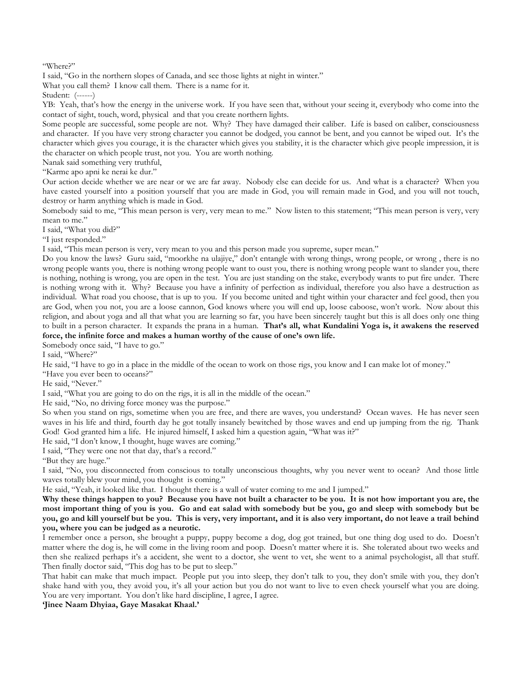## "Where?"

I said, "Go in the northern slopes of Canada, and see those lights at night in winter."

What you call them? I know call them. There is a name for it.

Student: (------)

YB: Yeah, that's how the energy in the universe work. If you have seen that, without your seeing it, everybody who come into the contact of sight, touch, word, physical and that you create northern lights.

Some people are successful, some people are not. Why? They have damaged their caliber. Life is based on caliber, consciousness and character. If you have very strong character you cannot be dodged, you cannot be bent, and you cannot be wiped out. It's the character which gives you courage, it is the character which gives you stability, it is the character which give people impression, it is the character on which people trust, not you. You are worth nothing.

Nanak said something very truthful,

"Karme apo apni ke nerai ke dur."

Our action decide whether we are near or we are far away. Nobody else can decide for us. And what is a character? When you have casted yourself into a position yourself that you are made in God, you will remain made in God, and you will not touch, destroy or harm anything which is made in God.

Somebody said to me, "This mean person is very, very mean to me." Now listen to this statement; "This mean person is very, very mean to me."

I said, "What you did?"

"I just responded."

I said, "This mean person is very, very mean to you and this person made you supreme, super mean."

Do you know the laws? Guru said, "moorkhe na ulajiye," don't entangle with wrong things, wrong people, or wrong , there is no wrong people wants you, there is nothing wrong people want to oust you, there is nothing wrong people want to slander you, there is nothing, nothing is wrong, you are open in the test. You are just standing on the stake, everybody wants to put fire under. There is nothing wrong with it. Why? Because you have a infinity of perfection as individual, therefore you also have a destruction as individual. What road you choose, that is up to you. If you become united and tight within your character and feel good, then you are God, when you not, you are a loose cannon, God knows where you will end up, loose caboose, won't work. Now about this religion, and about yoga and all that what you are learning so far, you have been sincerely taught but this is all does only one thing to built in a person character. It expands the prana in a human. **That's all, what Kundalini Yoga is, it awakens the reserved force, the infinite force and makes a human worthy of the cause of one's own life.** 

Somebody once said, "I have to go."

I said, "Where?"

He said, "I have to go in a place in the middle of the ocean to work on those rigs, you know and I can make lot of money."

"Have you ever been to oceans?"

He said, "Never."

I said, "What you are going to do on the rigs, it is all in the middle of the ocean."

He said, "No, no driving force money was the purpose."

So when you stand on rigs, sometime when you are free, and there are waves, you understand? Ocean waves. He has never seen waves in his life and third, fourth day he got totally insanely bewitched by those waves and end up jumping from the rig. Thank God! God granted him a life. He injured himself, I asked him a question again, "What was it?"

He said, "I don't know, I thought, huge waves are coming."

I said, "They were one not that day, that's a record."

"But they are huge."

I said, "No, you disconnected from conscious to totally unconscious thoughts, why you never went to ocean? And those little waves totally blew your mind, you thought is coming."

He said, "Yeah, it looked like that. I thought there is a wall of water coming to me and I jumped."

**Why these things happen to you? Because you have not built a character to be you. It is not how important you are, the most important thing of you is you. Go and eat salad with somebody but be you, go and sleep with somebody but be you, go and kill yourself but be you. This is very, very important, and it is also very important, do not leave a trail behind you, where you can be judged as a neurotic.** 

I remember once a person, she brought a puppy, puppy become a dog, dog got trained, but one thing dog used to do. Doesn't matter where the dog is, he will come in the living room and poop. Doesn't matter where it is. She tolerated about two weeks and then she realized perhaps it's a accident, she went to a doctor, she went to vet, she went to a animal psychologist, all that stuff. Then finally doctor said, "This dog has to be put to sleep."

That habit can make that much impact. People put you into sleep, they don't talk to you, they don't smile with you, they don't shake hand with you, they avoid you, it's all your action but you do not want to live to even check yourself what you are doing. You are very important. You don't like hard discipline, I agree, I agree.

## **'Jinee Naam Dhyiaa, Gaye Masakat Khaal.'**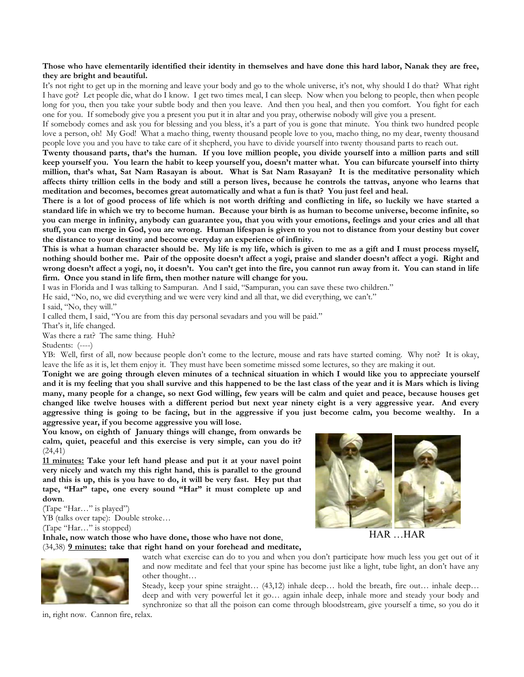## **Those who have elementarily identified their identity in themselves and have done this hard labor, Nanak they are free, they are bright and beautiful.**

It's not right to get up in the morning and leave your body and go to the whole universe, it's not, why should I do that? What right I have got? Let people die, what do I know. I get two times meal, I can sleep. Now when you belong to people, then when people long for you, then you take your subtle body and then you leave. And then you heal, and then you comfort. You fight for each one for you. If somebody give you a present you put it in altar and you pray, otherwise nobody will give you a present.

If somebody comes and ask you for blessing and you bless, it's a part of you is gone that minute. You think two hundred people love a person, oh! My God! What a macho thing, twenty thousand people love to you, macho thing, no my dear, twenty thousand people love you and you have to take care of it shepherd, you have to divide yourself into twenty thousand parts to reach out.

**Twenty thousand parts, that's the human. If you love million people, you divide yourself into a million parts and still keep yourself you. You learn the habit to keep yourself you, doesn't matter what. You can bifurcate yourself into thirty million, that's what, Sat Nam Rasayan is about. What is Sat Nam Rasayan? It is the meditative personality which affects thirty trillion cells in the body and still a person lives, because he controls the tattvas, anyone who learns that meditation and becomes, becomes great automatically and what a fun is that? You just feel and heal.** 

**There is a lot of good process of life which is not worth drifting and conflicting in life, so luckily we have started a standard life in which we try to become human. Because your birth is as human to become universe, become infinite, so you can merge in infinity, anybody can guarantee you, that you with your emotions, feelings and your cries and all that stuff, you can merge in God, you are wrong. Human lifespan is given to you not to distance from your destiny but cover the distance to your destiny and become everyday an experience of infinity.** 

**This is what a human character should be. My life is my life, which is given to me as a gift and I must process myself, nothing should bother me. Pair of the opposite doesn't affect a yogi, praise and slander doesn't affect a yogi. Right and wrong doesn't affect a yogi, no, it doesn't. You can't get into the fire, you cannot run away from it. You can stand in life firm. Once you stand in life firm, then mother nature will change for you.** 

I was in Florida and I was talking to Sampuran. And I said, "Sampuran, you can save these two children."

He said, "No, no, we did everything and we were very kind and all that, we did everything, we can't."

I said, "No, they will."

I called them, I said, "You are from this day personal sevadars and you will be paid."

That's it, life changed.

Was there a rat? The same thing. Huh?

Students: (----)

YB: Well, first of all, now because people don't come to the lecture, mouse and rats have started coming. Why not? It is okay, leave the life as it is, let them enjoy it. They must have been sometime missed some lectures, so they are making it out.

**Tonight we are going through eleven minutes of a technical situation in which I would like you to appreciate yourself and it is my feeling that you shall survive and this happened to be the last class of the year and it is Mars which is living many, many people for a change, so next God willing, few years will be calm and quiet and peace, because houses get changed like twelve houses with a different period but next year ninety eight is a very aggressive year. And every aggressive thing is going to be facing, but in the aggressive if you just become calm, you become wealthy. In a aggressive year, if you become aggressive you will lose.**

**You know, on eighth of January things will change, from onwards be calm, quiet, peaceful and this exercise is very simple, can you do it?**  (24,41)

**11 minutes: Take your left hand please and put it at your navel point very nicely and watch my this right hand, this is parallel to the ground and this is up, this is you have to do, it will be very fast. Hey put that tape, "Har" tape, one every sound "Har" it must complete up and down**.

(Tape "Har…" is played") YB (talks over tape): Double stroke…

(Tape "Har…" is stopped)

**Inhale, now watch those who have done, those who have not done**, (34,38) **9 minutes: take that right hand on your forehead and meditate,**



HAR …HAR



watch what exercise can do to you and when you don't participate how much less you get out of it and now meditate and feel that your spine has become just like a light, tube light, an don't have any other thought…

Steady, keep your spine straight… (43,12) inhale deep… hold the breath, fire out… inhale deep… deep and with very powerful let it go… again inhale deep, inhale more and steady your body and synchronize so that all the poison can come through bloodstream, give yourself a time, so you do it

in, right now. Cannon fire, relax.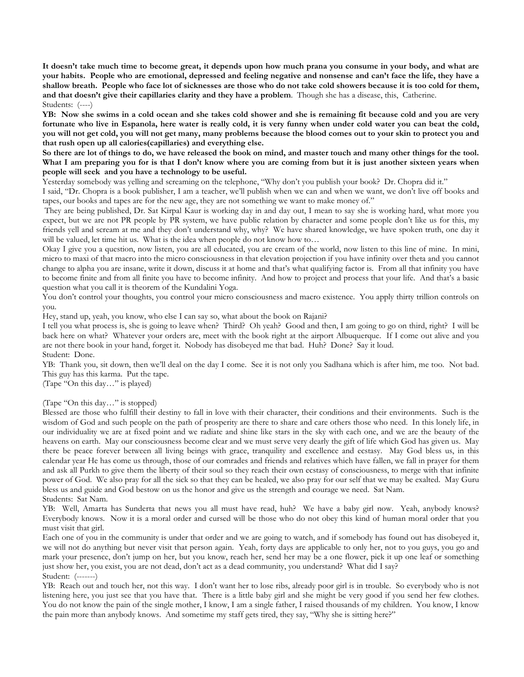**It doesn't take much time to become great, it depends upon how much prana you consume in your body, and what are your habits. People who are emotional, depressed and feeling negative and nonsense and can't face the life, they have a shallow breath. People who face lot of sicknesses are those who do not take cold showers because it is too cold for them, and that doesn't give their capillaries clarity and they have a problem**. Though she has a disease, this, Catherine. Students: (----)

**YB: Now she swims in a cold ocean and she takes cold shower and she is remaining fit because cold and you are very fortunate who live in Espanola, here water is really cold, it is very funny when under cold water you can beat the cold, you will not get cold, you will not get many, many problems because the blood comes out to your skin to protect you and that rush open up all calories(capillaries) and everything else.** 

**So there are lot of things to do, we have released the book on mind, and master touch and many other things for the tool.**  What I am preparing you for is that I don't know where you are coming from but it is just another sixteen years when **people will seek and you have a technology to be useful.** 

Yesterday somebody was yelling and screaming on the telephone, "Why don't you publish your book? Dr. Chopra did it."

I said, "Dr. Chopra is a book publisher, I am a teacher, we'll publish when we can and when we want, we don't live off books and tapes, our books and tapes are for the new age, they are not something we want to make money of."

They are being published, Dr. Sat Kirpal Kaur is working day in and day out, I mean to say she is working hard, what more you expect, but we are not PR people by PR system, we have public relation by character and some people don't like us for this, my friends yell and scream at me and they don't understand why, why? We have shared knowledge, we have spoken truth, one day it will be valued, let time hit us. What is the idea when people do not know how to...

Okay I give you a question, now listen, you are all educated, you are cream of the world, now listen to this line of mine. In mini, micro to maxi of that macro into the micro consciousness in that elevation projection if you have infinity over theta and you cannot change to alpha you are insane, write it down, discuss it at home and that's what qualifying factor is. From all that infinity you have to become finite and from all finite you have to become infinity. And how to project and process that your life. And that's a basic question what you call it is theorem of the Kundalini Yoga.

You don't control your thoughts, you control your micro consciousness and macro existence. You apply thirty trillion controls on you.

Hey, stand up, yeah, you know, who else I can say so, what about the book on Rajani?

I tell you what process is, she is going to leave when? Third? Oh yeah? Good and then, I am going to go on third, right? I will be back here on what? Whatever your orders are, meet with the book right at the airport Albuquerque. If I come out alive and you are not there book in your hand, forget it. Nobody has disobeyed me that bad. Huh? Done? Say it loud. Student: Done.

YB: Thank you, sit down, then we'll deal on the day I come. See it is not only you Sadhana which is after him, me too. Not bad. This guy has this karma. Put the tape.

(Tape "On this day…" is played)

(Tape "On this day…" is stopped)

Blessed are those who fulfill their destiny to fall in love with their character, their conditions and their environments. Such is the wisdom of God and such people on the path of prosperity are there to share and care others those who need. In this lonely life, in our individuality we are at fixed point and we radiate and shine like stars in the sky with each one, and we are the beauty of the heavens on earth. May our consciousness become clear and we must serve very dearly the gift of life which God has given us. May there be peace forever between all living beings with grace, tranquility and excellence and ecstasy. May God bless us, in this calendar year He has come us through, those of our comrades and friends and relatives which have fallen, we fall in prayer for them and ask all Purkh to give them the liberty of their soul so they reach their own ecstasy of consciousness, to merge with that infinite power of God. We also pray for all the sick so that they can be healed, we also pray for our self that we may be exalted. May Guru bless us and guide and God bestow on us the honor and give us the strength and courage we need. Sat Nam.

Students: Sat Nam.

YB: Well, Amarta has Sunderta that news you all must have read, huh? We have a baby girl now. Yeah, anybody knows? Everybody knows. Now it is a moral order and cursed will be those who do not obey this kind of human moral order that you must visit that girl.

Each one of you in the community is under that order and we are going to watch, and if somebody has found out has disobeyed it, we will not do anything but never visit that person again. Yeah, forty days are applicable to only her, not to you guys, you go and mark your presence, don't jump on her, but you know, reach her, send her may be a one flower, pick it up one leaf or something just show her, you exist, you are not dead, don't act as a dead community, you understand? What did I say? Student: (-------)

YB: Reach out and touch her, not this way. I don't want her to lose ribs, already poor girl is in trouble. So everybody who is not listening here, you just see that you have that. There is a little baby girl and she might be very good if you send her few clothes. You do not know the pain of the single mother, I know, I am a single father, I raised thousands of my children. You know, I know the pain more than anybody knows. And sometime my staff gets tired, they say, "Why she is sitting here?"